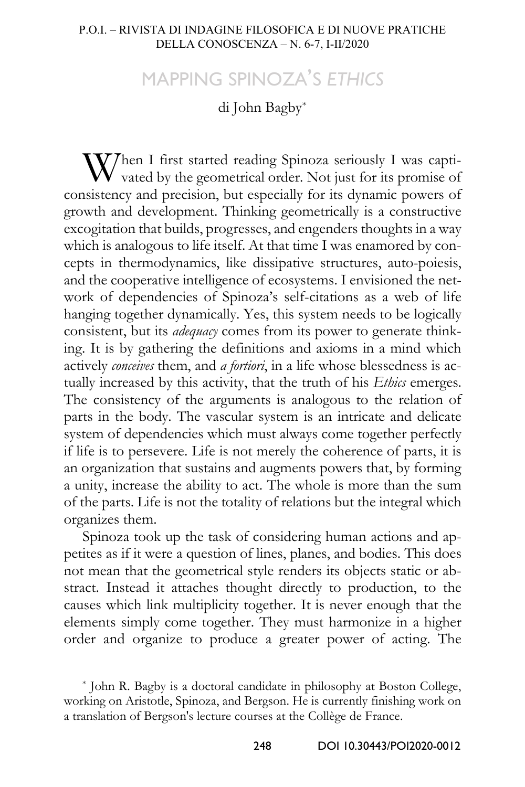## MAPPING SPINOZA'S *ETHICS*

di John Bagby[\\*](#page-0-0)

When I first started reading Spinoza seriously I was captivated by the geometrical order. Not just for its promise of vated by the geometrical order. Not just for its promise of consistency and precision, but especially for its dynamic powers of growth and development. Thinking geometrically is a constructive excogitation that builds, progresses, and engenders thoughts in a way which is analogous to life itself. At that time I was enamored by concepts in thermodynamics, like dissipative structures, auto-poiesis, and the cooperative intelligence of ecosystems. I envisioned the network of dependencies of Spinoza's self-citations as a web of life hanging together dynamically. Yes, this system needs to be logically consistent, but its *adequacy* comes from its power to generate thinking. It is by gathering the definitions and axioms in a mind which actively *conceives* them, and *a fortiori*, in a life whose blessedness is actually increased by this activity, that the truth of his *Ethics* emerges. The consistency of the arguments is analogous to the relation of parts in the body. The vascular system is an intricate and delicate system of dependencies which must always come together perfectly if life is to persevere. Life is not merely the coherence of parts, it is an organization that sustains and augments powers that, by forming a unity, increase the ability to act. The whole is more than the sum of the parts. Life is not the totality of relations but the integral which organizes them.

Spinoza took up the task of considering human actions and appetites as if it were a question of lines, planes, and bodies. This does not mean that the geometrical style renders its objects static or abstract. Instead it attaches thought directly to production, to the causes which link multiplicity together. It is never enough that the elements simply come together. They must harmonize in a higher order and organize to produce a greater power of acting. The

<span id="page-0-0"></span><sup>\*</sup> John R. Bagby is a doctoral candidate in philosophy at Boston College, working on Aristotle, Spinoza, and Bergson. He is currently finishing work on a translation of Bergson's lecture courses at the Collège de France.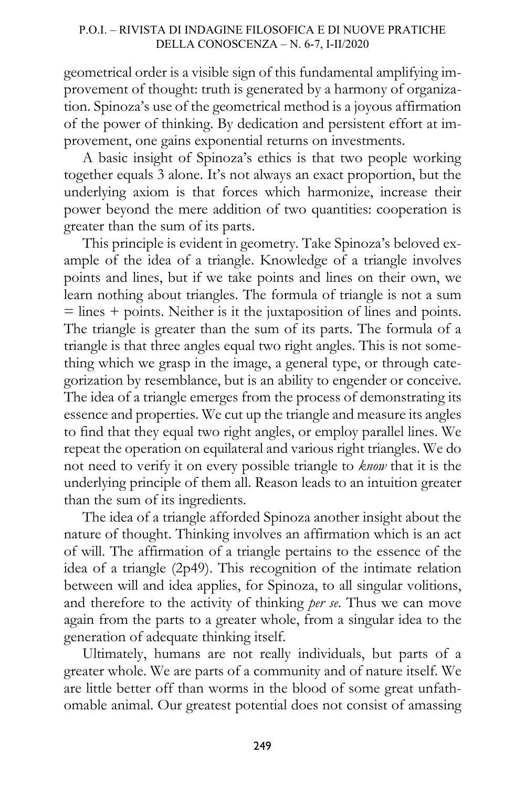geometrical order is a visible sign of this fundamental amplifying improvement of thought: truth is generated by a harmony of organization. Spinoza's use of the geometrical method is a joyous affirmation of the power of thinking. By dedication and persistent effort at improvement, one gains exponential returns on investments.

A basic insight of Spinoza's ethics is that two people working together equals 3 alone. It's not always an exact proportion, but the underlying axiom is that forces which harmonize, increase their power beyond the mere addition of two quantities: cooperation is greater than the sum of its parts.

This principle is evident in geometry. Take Spinoza's beloved example of the idea of a triangle. Knowledge of a triangle involves points and lines, but if we take points and lines on their own, we learn nothing about triangles. The formula of triangle is not a sum  $=$  lines  $+$  points. Neither is it the juxtaposition of lines and points. The triangle is greater than the sum of its parts. The formula of a triangle is that three angles equal two right angles. This is not something which we grasp in the image, a general type, or through categorization by resemblance, but is an ability to engender or conceive. The idea of a triangle emerges from the process of demonstrating its essence and properties. We cut up the triangle and measure its angles to find that they equal two right angles, or employ parallel lines. We repeat the operation on equilateral and various right triangles. We do not need to verify it on every possible triangle to *know* that it is the underlying principle of them all. Reason leads to an intuition greater than the sum of its ingredients.

The idea of a triangle afforded Spinoza another insight about the nature of thought. Thinking involves an affirmation which is an act of will. The affirmation of a triangle pertains to the essence of the idea of a triangle (2p49). This recognition of the intimate relation between will and idea applies, for Spinoza, to all singular volitions, and therefore to the activity of thinking *per se*. Thus we can move again from the parts to a greater whole, from a singular idea to the generation of adequate thinking itself.

Ultimately, humans are not really individuals, but parts of a greater whole. We are parts of a community and of nature itself. We are little better off than worms in the blood of some great unfathomable animal. Our greatest potential does not consist of amassing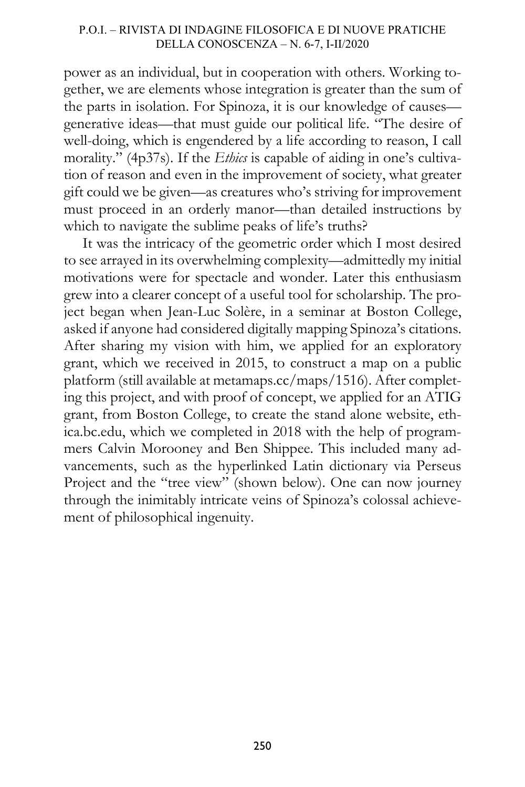## P.O.I. – RIVISTA DI INDAGINE FILOSOFICA E DI NUOVE PRATICHE DELLA CONOSCENZA – N. 6-7, I-II/2020

power as an individual, but in cooperation with others. Working together, we are elements whose integration is greater than the sum of the parts in isolation. For Spinoza, it is our knowledge of causes generative ideas—that must guide our political life. "The desire of well-doing, which is engendered by a life according to reason, I call morality." (4p37s). If the *Ethics* is capable of aiding in one's cultivation of reason and even in the improvement of society, what greater gift could we be given—as creatures who's striving for improvement must proceed in an orderly manor—than detailed instructions by which to navigate the sublime peaks of life's truths?

It was the intricacy of the geometric order which I most desired to see arrayed in its overwhelming complexity—admittedly my initial motivations were for spectacle and wonder. Later this enthusiasm grew into a clearer concept of a useful tool for scholarship. The project began when Jean-Luc Solère, in a seminar at Boston College, asked if anyone had considered digitally mapping Spinoza's citations. After sharing my vision with him, we applied for an exploratory grant, which we received in 2015, to construct a map on a public platform (still available at metamaps.cc/maps/1516). After completing this project, and with proof of concept, we applied for an ATIG grant, from Boston College, to create the stand alone website, ethica.bc.edu, which we completed in 2018 with the help of programmers Calvin Morooney and Ben Shippee. This included many advancements, such as the hyperlinked Latin dictionary via Perseus Project and the "tree view" (shown below). One can now journey through the inimitably intricate veins of Spinoza's colossal achievement of philosophical ingenuity.